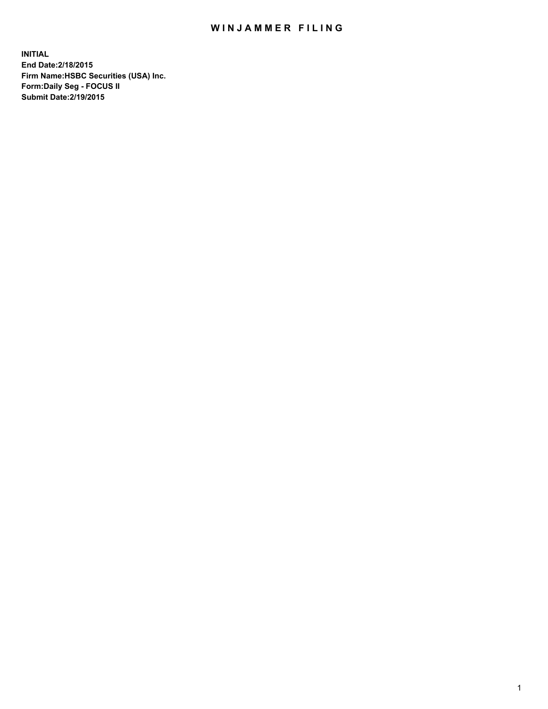## WIN JAMMER FILING

**INITIAL End Date:2/18/2015 Firm Name:HSBC Securities (USA) Inc. Form:Daily Seg - FOCUS II Submit Date:2/19/2015**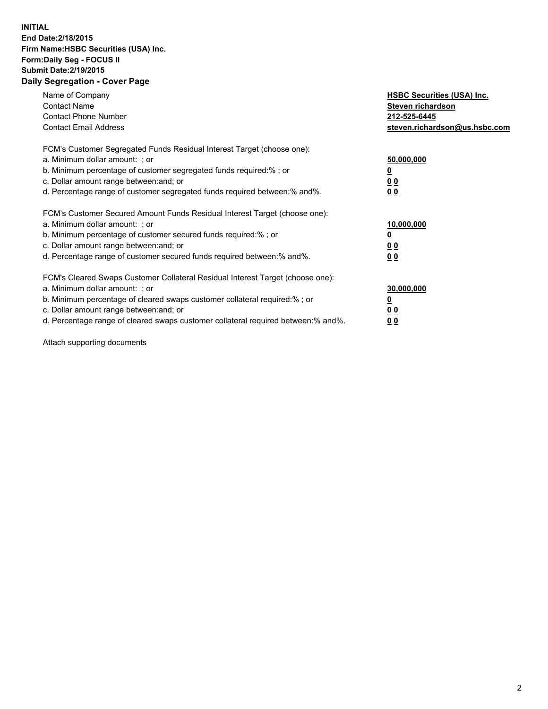## **INITIAL End Date:2/18/2015 Firm Name:HSBC Securities (USA) Inc. Form:Daily Seg - FOCUS II Submit Date:2/19/2015 Daily Segregation - Cover Page**

| Name of Company<br><b>Contact Name</b><br><b>Contact Phone Number</b><br><b>Contact Email Address</b>                                                                                                                                                                                                                          | <b>HSBC Securities (USA) Inc.</b><br>Steven richardson<br>212-525-6445<br>steven.richardson@us.hsbc.com |
|--------------------------------------------------------------------------------------------------------------------------------------------------------------------------------------------------------------------------------------------------------------------------------------------------------------------------------|---------------------------------------------------------------------------------------------------------|
| FCM's Customer Segregated Funds Residual Interest Target (choose one):<br>a. Minimum dollar amount: ; or<br>b. Minimum percentage of customer segregated funds required:% ; or<br>c. Dollar amount range between: and; or<br>d. Percentage range of customer segregated funds required between:% and%.                         | 50,000,000<br>0 <sub>0</sub><br>0 <sub>0</sub>                                                          |
| FCM's Customer Secured Amount Funds Residual Interest Target (choose one):<br>a. Minimum dollar amount: ; or<br>b. Minimum percentage of customer secured funds required:%; or<br>c. Dollar amount range between: and; or<br>d. Percentage range of customer secured funds required between: % and %.                          | 10,000,000<br><u>0</u><br>0 <sub>0</sub><br>0 <sub>0</sub>                                              |
| FCM's Cleared Swaps Customer Collateral Residual Interest Target (choose one):<br>a. Minimum dollar amount: ; or<br>b. Minimum percentage of cleared swaps customer collateral required:% ; or<br>c. Dollar amount range between: and; or<br>d. Percentage range of cleared swaps customer collateral required between:% and%. | 30,000,000<br>0 <sub>0</sub><br>0 <sub>0</sub>                                                          |

Attach supporting documents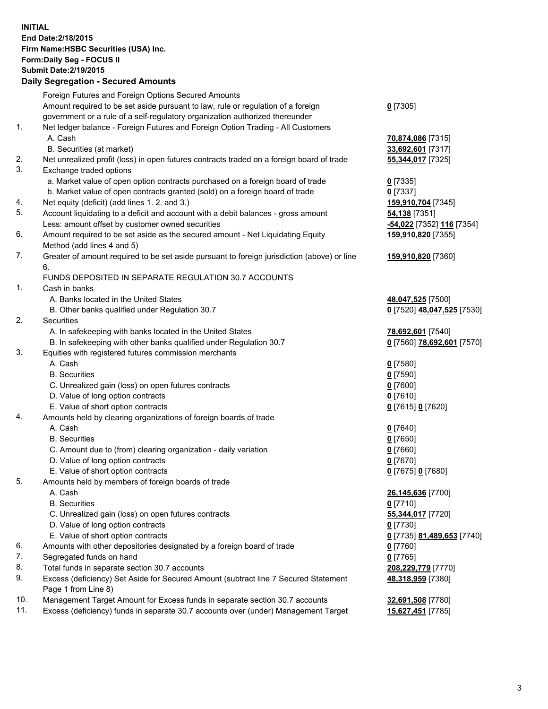**INITIAL End Date:2/18/2015 Firm Name:HSBC Securities (USA) Inc. Form:Daily Seg - FOCUS II Submit Date:2/19/2015 Daily Segregation - Secured Amounts**

Foreign Futures and Foreign Options Secured Amounts Amount required to be set aside pursuant to law, rule or regulation of a foreign government or a rule of a self-regulatory organization authorized thereunder **0** [7305] 1. Net ledger balance - Foreign Futures and Foreign Option Trading - All Customers A. Cash **70,874,086** [7315] B. Securities (at market) **33,692,601** [7317] 2. Net unrealized profit (loss) in open futures contracts traded on a foreign board of trade **55,344,017** [7325] 3. Exchange traded options a. Market value of open option contracts purchased on a foreign board of trade **0** [7335] b. Market value of open contracts granted (sold) on a foreign board of trade **0** [7337] 4. Net equity (deficit) (add lines 1. 2. and 3.) **159,910,704** [7345] 5. Account liquidating to a deficit and account with a debit balances - gross amount **54,138** [7351] Less: amount offset by customer owned securities **-54,022** [7352] **116** [7354] 6. Amount required to be set aside as the secured amount - Net Liquidating Equity Method (add lines 4 and 5) **159,910,820** [7355] 7. Greater of amount required to be set aside pursuant to foreign jurisdiction (above) or line 6. **159,910,820** [7360] FUNDS DEPOSITED IN SEPARATE REGULATION 30.7 ACCOUNTS 1. Cash in banks A. Banks located in the United States **48,047,525** [7500] B. Other banks qualified under Regulation 30.7 **0** [7520] **48,047,525** [7530] 2. Securities A. In safekeeping with banks located in the United States **78,692,601** [7540] B. In safekeeping with other banks qualified under Regulation 30.7 **0** [7560] **78,692,601** [7570] 3. Equities with registered futures commission merchants A. Cash **0** [7580] B. Securities **0** [7590] C. Unrealized gain (loss) on open futures contracts **0** [7600] D. Value of long option contracts **0** [7610] E. Value of short option contracts **0** [7615] **0** [7620] 4. Amounts held by clearing organizations of foreign boards of trade A. Cash **0** [7640] B. Securities **0** [7650] C. Amount due to (from) clearing organization - daily variation **0** [7660] D. Value of long option contracts **0** [7670] E. Value of short option contracts **0** [7675] **0** [7680] 5. Amounts held by members of foreign boards of trade A. Cash **26,145,636** [7700] B. Securities **0** [7710] C. Unrealized gain (loss) on open futures contracts **55,344,017** [7720] D. Value of long option contracts **0** [7730] E. Value of short option contracts **0** [7735] **81,489,653** [7740] 6. Amounts with other depositories designated by a foreign board of trade **0** [7760] 7. Segregated funds on hand **0** [7765] 8. Total funds in separate section 30.7 accounts **208,229,779** [7770] 9. Excess (deficiency) Set Aside for Secured Amount (subtract line 7 Secured Statement Page 1 from Line 8) **48,318,959** [7380] 10. Management Target Amount for Excess funds in separate section 30.7 accounts **32,691,508** [7780] 11. Excess (deficiency) funds in separate 30.7 accounts over (under) Management Target **15,627,451** [7785]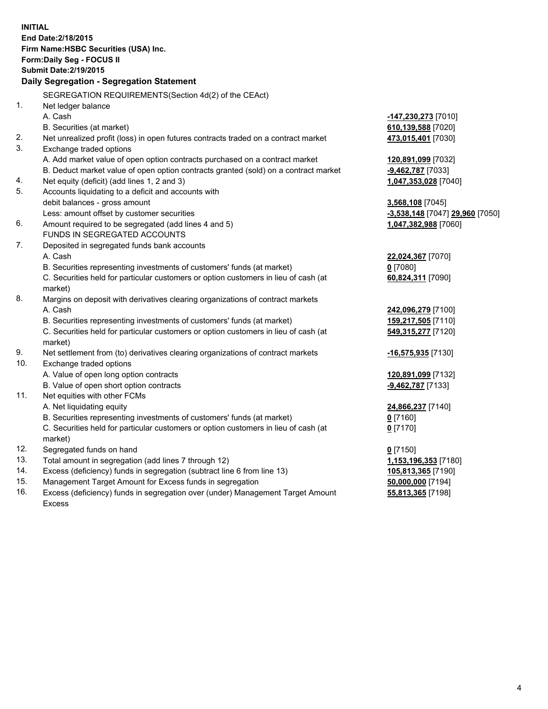| <b>INITIAL</b>                            |                                                                                                |                                 |  |  |  |
|-------------------------------------------|------------------------------------------------------------------------------------------------|---------------------------------|--|--|--|
| End Date: 2/18/2015                       |                                                                                                |                                 |  |  |  |
| Firm Name: HSBC Securities (USA) Inc.     |                                                                                                |                                 |  |  |  |
| Form: Daily Seg - FOCUS II                |                                                                                                |                                 |  |  |  |
| <b>Submit Date: 2/19/2015</b>             |                                                                                                |                                 |  |  |  |
| Daily Segregation - Segregation Statement |                                                                                                |                                 |  |  |  |
|                                           | SEGREGATION REQUIREMENTS(Section 4d(2) of the CEAct)                                           |                                 |  |  |  |
| 1.                                        | Net ledger balance                                                                             |                                 |  |  |  |
|                                           | A. Cash                                                                                        | -147,230,273 [7010]             |  |  |  |
|                                           | B. Securities (at market)                                                                      | 610,139,588 [7020]              |  |  |  |
| 2.                                        | Net unrealized profit (loss) in open futures contracts traded on a contract market             | 473,015,401 [7030]              |  |  |  |
| 3.                                        | Exchange traded options                                                                        |                                 |  |  |  |
|                                           | A. Add market value of open option contracts purchased on a contract market                    | 120,891,099 [7032]              |  |  |  |
|                                           | B. Deduct market value of open option contracts granted (sold) on a contract market            | -9,462,787 [7033]               |  |  |  |
| 4.                                        | Net equity (deficit) (add lines 1, 2 and 3)                                                    | 1,047,353,028 [7040]            |  |  |  |
| 5.                                        | Accounts liquidating to a deficit and accounts with                                            |                                 |  |  |  |
|                                           | debit balances - gross amount                                                                  | 3,568,108 [7045]                |  |  |  |
|                                           | Less: amount offset by customer securities                                                     | -3,538,148 [7047] 29,960 [7050] |  |  |  |
| 6.                                        | Amount required to be segregated (add lines 4 and 5)                                           | 1,047,382,988 [7060]            |  |  |  |
|                                           | FUNDS IN SEGREGATED ACCOUNTS                                                                   |                                 |  |  |  |
| 7.                                        | Deposited in segregated funds bank accounts                                                    |                                 |  |  |  |
|                                           | A. Cash                                                                                        | 22,024,367 [7070]               |  |  |  |
|                                           | B. Securities representing investments of customers' funds (at market)                         | $0$ [7080]                      |  |  |  |
|                                           | C. Securities held for particular customers or option customers in lieu of cash (at            | 60,824,311 [7090]               |  |  |  |
|                                           | market)                                                                                        |                                 |  |  |  |
| 8.                                        | Margins on deposit with derivatives clearing organizations of contract markets                 |                                 |  |  |  |
|                                           | A. Cash                                                                                        | 242,096,279 [7100]              |  |  |  |
|                                           | B. Securities representing investments of customers' funds (at market)                         | 159,217,505 [7110]              |  |  |  |
|                                           | C. Securities held for particular customers or option customers in lieu of cash (at            | 549,315,277 [7120]              |  |  |  |
|                                           | market)                                                                                        |                                 |  |  |  |
| 9.                                        | Net settlement from (to) derivatives clearing organizations of contract markets                | <u>-16,575,935</u> [7130]       |  |  |  |
| 10.                                       | Exchange traded options                                                                        |                                 |  |  |  |
|                                           | A. Value of open long option contracts                                                         | 120,891,099 [7132]              |  |  |  |
|                                           | B. Value of open short option contracts                                                        | -9,462,787 [7133]               |  |  |  |
| 11.                                       | Net equities with other FCMs                                                                   |                                 |  |  |  |
|                                           | A. Net liquidating equity                                                                      | 24,866,237 [7140]               |  |  |  |
|                                           | B. Securities representing investments of customers' funds (at market)                         | 0 <sup>[7160]</sup>             |  |  |  |
|                                           | C. Securities held for particular customers or option customers in lieu of cash (at<br>market) | $0$ [7170]                      |  |  |  |
| 12.                                       | Segregated funds on hand                                                                       | $0$ [7150]                      |  |  |  |
| 13.                                       | Total amount in segregation (add lines 7 through 12)                                           | 1,153,196,353 [7180]            |  |  |  |
| 14.                                       | Excess (deficiency) funds in segregation (subtract line 6 from line 13)                        | 105,813,365 [7190]              |  |  |  |
| 15.                                       | Management Target Amount for Excess funds in segregation                                       | 50,000,000 [7194]               |  |  |  |
| 16.                                       | Excess (deficiency) funds in segregation over (under) Management Target Amount                 | 55,813,365 [7198]               |  |  |  |

Excess